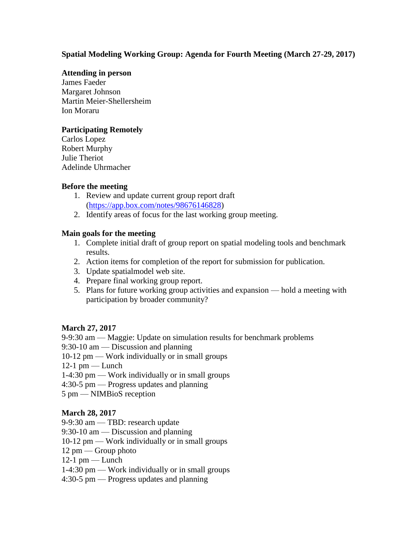# **Spatial Modeling Working Group: Agenda for Fourth Meeting (March 27-29, 2017)**

#### **Attending in person**

James Faeder Margaret Johnson Martin Meier-Shellersheim Ion Moraru

# **Participating Remotely**

Carlos Lopez Robert Murphy Julie Theriot Adelinde Uhrmacher

# **Before the meeting**

- 1. Review and update current group report draft [\(https://app.box.com/notes/98676146828\)](https://app.box.com/notes/98676146828)
- 2. Identify areas of focus for the last working group meeting.

# **Main goals for the meeting**

- 1. Complete initial draft of group report on spatial modeling tools and benchmark results.
- 2. Action items for completion of the report for submission for publication.
- 3. Update spatialmodel web site.
- 4. Prepare final working group report.
- 5. Plans for future working group activities and expansion hold a meeting with participation by broader community?

# **March 27, 2017**

9-9:30 am — Maggie: Update on simulation results for benchmark problems

9:30-10 am — Discussion and planning

- 10-12 pm Work individually or in small groups
- $12-1$  pm Lunch
- 1-4:30 pm Work individually or in small groups
- 4:30-5 pm Progress updates and planning
- 5 pm NIMBioS reception

#### **March 28, 2017**

- 9-9:30 am TBD: research update
- 9:30-10 am Discussion and planning
- 10-12 pm Work individually or in small groups
- 12 pm Group photo
- $12-1$  pm Lunch
- 1-4:30 pm Work individually or in small groups
- 4:30-5 pm Progress updates and planning